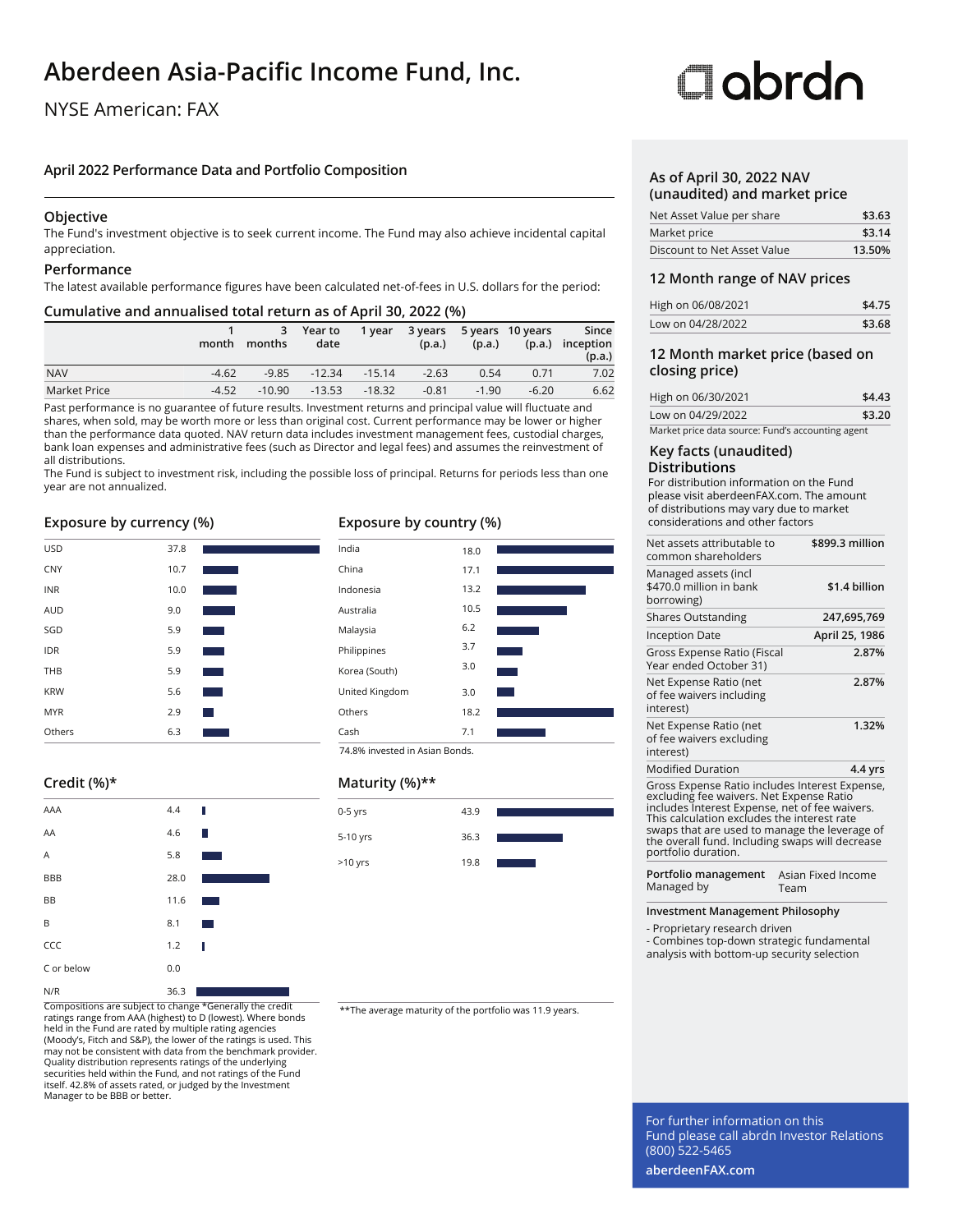## **Aberdeen Asia-Pacific Income Fund, Inc.**

### NYSE American: FAX

### **April 2022 Performance Data and Portfolio Composition**

### **Objective**

The Fund's investment objective is to seek current income. The Fund may also achieve incidental capital appreciation.

### **Performance**

The latest available performance figures have been calculated net-of-fees in U.S. dollars for the period:

### **Cumulative and annualised total return as of April 30, 2022 (%)**

|              | month   | months   | 3 Year to<br>date | 1 year            | (p.a.)  | (p.a.)  | 3 years 5 years 10 years | Since<br>(p.a.) inception<br>(p.a.) |
|--------------|---------|----------|-------------------|-------------------|---------|---------|--------------------------|-------------------------------------|
| <b>NAV</b>   | $-4.62$ | $-9.85$  |                   | $-12.34$ $-15.14$ | $-2.63$ | 0.54    | 0.71                     | 7.02                                |
| Market Price | $-4.52$ | $-10.90$ | -13.53            | $-18.32$          | $-0.81$ | $-1.90$ | $-6.20$                  | 6.62                                |

Past performance is no guarantee of future results. Investment returns and principal value will fluctuate and shares, when sold, may be worth more or less than original cost. Current performance may be lower or higher than the performance data quoted. NAV return data includes investment management fees, custodial charges, bank loan expenses and administrative fees (such as Director and legal fees) and assumes the reinvestment of all distributions.

The Fund is subject to investment risk, including the possible loss of principal. Returns for periods less than one year are not annualized.

### **Exposure by currency (%)**

| Others     | 6.3  |                        |
|------------|------|------------------------|
| <b>MYR</b> | 2.9  | <b>Service Service</b> |
| <b>KRW</b> | 5.6  |                        |
| THB        | 5.9  |                        |
| <b>IDR</b> | 5.9  |                        |
| SGD        | 5.9  |                        |
| <b>AUD</b> | 9.0  |                        |
| <b>INR</b> | 10.0 |                        |
| <b>CNY</b> | 10.7 |                        |
| <b>USD</b> | 37.8 |                        |

### **Credit (%)\***

| AAA        | 4.4  | П                      |
|------------|------|------------------------|
| AA         | 4.6  | Ш                      |
| A          | 5.8  |                        |
| <b>BBB</b> | 28.0 |                        |
| BB         | 11.6 |                        |
| B          | 8.1  | <b>Service Service</b> |
| CCC        | 1.2  | I                      |
| C or below | 0.0  |                        |
| N/R        | 36.3 |                        |

Compositions are subject to change \*Generally the credit  $\overline{u}$  \*\*The average maturity of the portfolio was 11.9 years. ratings range from AAA (highest) to D (lowest). Where bonds held in the Fund are rated by multiple rating agencies (Moody's, Fitch and S&P), the lower of the ratings is used. This may not be consistent with data from the benchmark provider. Quality distribution represents ratings of the underlying securities held within the Fund, and not ratings of the Fund itself. 42.8% of assets rated, or judged by the Investment Manager to be BBB or better.

### **Exposure by country (%)**



### **Maturity (%)\*\***

| .         |      |  |
|-----------|------|--|
| $0-5$ yrs | 43.9 |  |
| 5-10 yrs  | 36.3 |  |
| >10 yrs   | 19.8 |  |

# Oobrdo

### **As of April 30, 2022 NAV (unaudited) and market price**

| Net Asset Value per share   | \$3.63 |
|-----------------------------|--------|
| Market price                | \$3.14 |
| Discount to Net Asset Value | 13.50% |

### **12 Month range of NAV prices**

| High on 06/08/2021 | \$4.75 |
|--------------------|--------|
| Low on 04/28/2022  | \$3.68 |

### **12 Month market price (based on closing price)**

| High on 06/30/2021                                | \$4.43 |
|---------------------------------------------------|--------|
| Low on 04/29/2022                                 | \$3.20 |
| Market price data source: Fund's accounting agent |        |

### **Key facts (unaudited) Distributions**

For distribution information on the Fund please visit aberdeenFAX.com. The amount of distributions may vary due to market considerations and other factors

| Net assets attributable to<br>common shareholders                                                                                                                                                                                                                                                                      | \$899.3 million    |
|------------------------------------------------------------------------------------------------------------------------------------------------------------------------------------------------------------------------------------------------------------------------------------------------------------------------|--------------------|
| Managed assets (incl<br>\$470.0 million in bank<br>borrowing)                                                                                                                                                                                                                                                          | \$1.4 billion      |
| <b>Shares Outstanding</b>                                                                                                                                                                                                                                                                                              | 247,695,769        |
| Inception Date                                                                                                                                                                                                                                                                                                         | April 25, 1986     |
| Gross Expense Ratio (Fiscal<br>Year ended October 31)                                                                                                                                                                                                                                                                  | 2.87%              |
| Net Expense Ratio (net<br>of fee waivers including<br>interest)                                                                                                                                                                                                                                                        | 2.87%              |
| Net Expense Ratio (net<br>of fee waivers excluding<br>interest)                                                                                                                                                                                                                                                        | 1.32%              |
| <b>Modified Duration</b>                                                                                                                                                                                                                                                                                               | 4.4 yrs            |
| Gross Expense Ratio includes Interest Expense,<br>excluding fee waivers. Net Expense Ratio<br>includes Interest Expense, net of fee waivers.<br>This calculation excludes the interest rate<br>swaps that are used to manage the leverage of<br>the overall fund. Including swaps will decrease<br>portfolio duration. |                    |
| Portfolio management<br>Managed by<br>Team                                                                                                                                                                                                                                                                             | Asian Fixed Income |

**Investment Management Philosophy**

- Proprietary research driven

- Combines top-down strategic fundamental analysis with bottom-up security selection

For further information on this Fund please call abrdn Investor Relations (800) 522-5465

**aberdeenFAX.com**